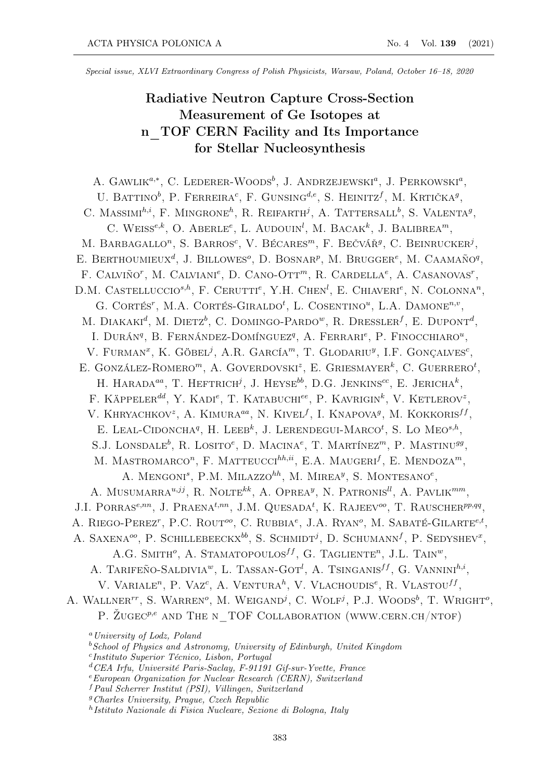Special issue, XLVI Extraordinary Congress of Polish Physicists, Warsaw, Poland, October 16–18, 2020

# Radiative Neutron Capture Cross-Section Measurement of Ge Isotopes at n\_TOF CERN Facility and Its Importance for Stellar Nucleosynthesis

A. GAWLIK<sup>a,\*</sup>, C. LEDERER-WOODS<sup>b</sup>, J. ANDRZEJEWSKI<sup>a</sup>, J. PERKOWSKI<sup>a</sup>, U. BATTINO<sup>b</sup>, P. FERREIRA<sup>c</sup>, F. GUNSING<sup>d,e</sup>, S. HEINITZ<sup>f</sup>, M. KRTIČKA<sup>g</sup>, C. MASSIMI<sup>h,i</sup>, F. MINGRONE<sup>h</sup>, R. REIFARTH<sup>j</sup>, A. TATTERSALL<sup>b</sup>, S. VALENTA<sup>g</sup>, C. WEISS<sup>e,k</sup>, O. ABERLE<sup>e</sup>, L. AUDOUIN<sup>l</sup>, M. BACAK<sup>k</sup>, J. BALIBREA<sup>m</sup>, M. BARBAGALLO<sup>n</sup>, S. BARROS<sup>c</sup>, V. BÉCARES<sup>m</sup>, F. BEČVÁŘ<sup>9</sup>, C. BEINRUCKER<sup>j</sup>, E. BERTHOUMIEUX<sup>d</sup>, J. BILLOWES<sup>o</sup>, D. BOSNAR<sup>p</sup>, M. BRUGGER<sup>e</sup>, M. CAAMAÑO<sup>q</sup>, F. CALVIÑO<sup>r</sup>, M. CALVIANI<sup>e</sup>, D. CANO-OTT<sup>m</sup>, R. CARDELLA<sup>e</sup>, A. CASANOVAS<sup>r</sup>, D.M. CASTELLUCCIO<sup>s,h</sup>, F. CERUTTI<sup>e</sup>, Y.H. CHEN<sup>l</sup>, E. CHIAVERI<sup>e</sup>, N. COLONNA<sup>n</sup>, G. CORTÉS<sup>T</sup>, M.A. CORTÉS-GIRALDO<sup>t</sup>, L. COSENTINO<sup>u</sup>, L.A. DAMONE<sup>n,v</sup>. M. DIAKAKI<sup>d</sup>, M. DIETZ<sup>b</sup>, C. DOMINGO-PARDO<sup>w</sup>, R. DRESSLER<sup>f</sup>, E. DUPONT<sup>d</sup>, L. DURÁN<sup><sup>q</sup>, B. FERNÁNDEZ-DOMÍNGUEZ<sup>q</sup>, A. FERRARI<sup>e</sup>, P. FINOCCHIARO<sup>u</sup>,</sup> V. FURMAN<sup>x</sup>, K. GÖBEL<sup>j</sup>, A.R. GARCÍA<sup>m</sup>, T. GLODARIU<sup>y</sup>, I.F. GONCALVES<sup>c</sup>, E. GONZÁLEZ-ROMERO<sup>m</sup>, A. GOVERDOVSKI<sup>z</sup>, E. GRIESMAYER<sup>k</sup>, C. GUERRERO<sup>t</sup>, H. HARADA<sup>aa</sup>, T. HEFTRICH<sup>j</sup>, J. HEYSE<sup>bb</sup>, D.G. JENKINS<sup>cc</sup>, E. JERICHA<sup>k</sup>, F. KÄPPELER<sup>dd</sup>, Y. KADI<sup>e</sup>, T. KATABUCHI<sup>ee</sup>, P. KAVRIGIN<sup>k</sup>, V. KETLEROV<sup>2</sup>, V. KHRYACHKOV<sup>z</sup>, A. KIMURA<sup>aa</sup>, N. KIVEL<sup>f</sup>, I. KNAPOVA<sup>g</sup>, M. KOKKORIS<sup>ff</sup>, E. LEAL-CIDONCHA<sup>q</sup>, H. LEEB<sup>k</sup>, J. LERENDEGUI-MARCO<sup>t</sup>, S. LO MEO<sup>s,h</sup>, S.J. LONSDALE<sup>b</sup>, R. LOSITO<sup>e</sup>, D. MACINA<sup>e</sup>, T. MARTÍNEZ<sup>m</sup>, P. MASTINU<sup>99</sup>. M. MASTROMARCO<sup>n</sup>, F. MATTEUCCI<sup>hh,ii</sup>, E.A. MAUGERI<sup>f</sup>, E. MENDOZA<sup>m</sup>, A. MENGONI<sup>s</sup>, P.M. MILAZZO<sup>hh</sup>, M. MIREA<sup>y</sup>, S. MONTESANO<sup>e</sup>, A. MUSUMARRA $^{u,jj}$ , R. NOLTE<sup>kk</sup>, A. OPREA<sup>y</sup>, N. PATRONIS<sup>II</sup>, A. PAVLIK<sup>mm</sup>, J.I. PORRAS<sup>e,nn</sup>, J. PRAENA<sup>t,nn</sup>, J.M. QUESADA<sup>t</sup>, K. RAJEEV<sup>oo</sup>, T. RAUSCHER<sup>pp,qq</sup>, A. RIEGO-PEREZ<sup>t</sup>, P.C. ROUT<sup>oo</sup>, C. RUBBIA<sup>e</sup>, J.A. RYAN<sup>o</sup>, M. SABATÉ-GILARTE<sup>e,t</sup>, A. SAXENA<sup> $oo$ </sup>, P. SCHILLEBEECKX<sup>bb</sup>, S. SCHMIDT<sup>j</sup>, D. SCHUMANN<sup>f</sup>, P. SEDYSHEV<sup>x</sup>, A.G. SMITH<sup>o</sup>, A. STAMATOPOULOS<sup>ff</sup>, G. TAGLIENTE<sup>n</sup>, J.L. TAIN<sup>w</sup>. A. TARIFEÑO-SALDIVIA<sup>w</sup>, L. TASSAN-GOT<sup>*i*</sup>, A. TSINGANIS<sup>ff</sup>, G. VANNINI<sup>h,i</sup>, V. VARIALE<sup>n</sup>, P. Vaz<sup>c</sup>, A. VENTURA<sup>h</sup>, V. VLACHOUDIS<sup>e</sup>, R. VLASTOU<sup>ff</sup>, A. WALLNER<sup>TT</sup>, S. WARREN<sup>o</sup>, M. WEIGAND<sup>j</sup>, C. WOLF<sup>j</sup>, P.J. WOODS<sup>b</sup>, T. WRIGHT<sup>o</sup>, P. ŽUGEC<sup>p,e</sup> AND THE N\_TOF COLLABORATION (WWW.CERN.CH/NTOF)  $a$  University of Lodz, Poland  $b$  School of Physics and Astronomy, University of Edinburgh, United Kingdom c Instituto Superior Técnico, Lisbon, Portugal <sup>d</sup>CEA Irfu, Université Paris-Saclay, F-91191 Gif-sur-Yvette, France  $e_{European Organization for Nuclear Research (CERN), Switzerland$ <sup>f</sup>Paul Scherrer Institut (PSI), Villingen, Switzerland

<sup>g</sup>Charles University, Prague, Czech Republic

h Istituto Nazionale di Fisica Nucleare, Sezione di Bologna, Italy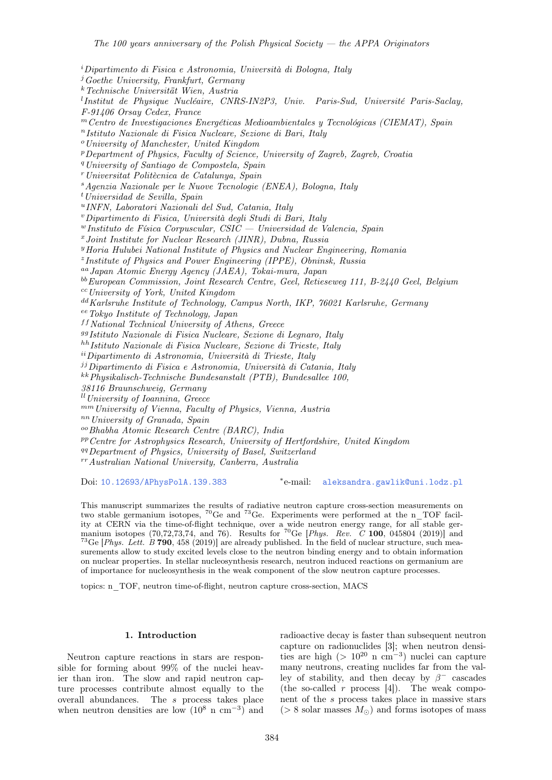$i$ Dipartimento di Fisica e Astronomia, Università di Bologna, Italy  $\mu^j$ Goethe University, Frankfurt, Germany <sup>k</sup>Technische Universität Wien, Austria <sup>l</sup>Institut de Physique Nucléaire, CNRS-IN2P3, Univ. Paris-Sud, Université Paris-Saclay, F-91406 Orsay Cedex, France  $<sup>m</sup>Centro de Investigaciones *Energéticas Medioambientales y Tecnológicas* (CIEMAT), Spain$ </sup>  $n$ Istituto Nazionale di Fisica Nucleare, Sezione di Bari, Italy <sup>o</sup>University of Manchester, United Kingdom <sup>p</sup>Department of Physics, Faculty of Science, University of Zagreb, Zagreb, Croatia <sup>q</sup>University of Santiago de Compostela, Spain  $r$ Universitat Politècnica de Catalunya, Spain <sup>s</sup>Agenzia Nazionale per le Nuove Tecnologie (ENEA), Bologna, Italy  $t$ Universidad de Sevilla, Spain u INFN, Laboratori Nazionali del Sud, Catania, Italy <sup>v</sup>Dipartimento di Fisica, Università degli Studi di Bari, Italy  $^{w}$ Instituto de Física Corpuscular, CSIC — Universidad de Valencia, Spain  $x$ Joint Institute for Nuclear Research (JINR), Dubna, Russia <sup>y</sup>Horia Hulubei National Institute of Physics and Nuclear Engineering, Romania z Institute of Physics and Power Engineering (IPPE), Obninsk, Russia aaJapan Atomic Energy Agency (JAEA), Tokai-mura, Japan bbEuropean Commission, Joint Research Centre, Geel, Retieseweg 111, B-2440 Geel, Belgium  $cc$ University of York, United Kingdom dd Karlsruhe Institute of Technology, Campus North, IKP, 76021 Karlsruhe, Germany eeTokyo Institute of Technology, Japan  $<sup>ff</sup> National Technical University of Athens, Greece$ </sup> ggIstituto Nazionale di Fisica Nucleare, Sezione di Legnaro, Italy hhIstituto Nazionale di Fisica Nucleare, Sezione di Trieste, Italy iiDipartimento di Astronomia, Università di Trieste, Italy  $j$ <sup>j</sup>Dipartimento di Fisica e Astronomia, Università di Catania, Italy kkPhysikalisch-Technische Bundesanstalt (PTB), Bundesallee 100, 38116 Braunschweig, Germany  $\mu$ University of Ioannina, Greece mmUniversity of Vienna, Faculty of Physics, Vienna, Austria nnUniversity of Granada, Spain ooBhabha Atomic Research Centre (BARC), India  $P<sup>p</sup> Centre for Astrophysics Research, University of Hertfordshire, United Kingdom$ <sup>qq</sup>Department of Physics, University of Basel, Switzerland  $r r$ Australian National University, Canberra, Australia

Doi: [10.12693/APhysPolA.139.383](http://doi.org/10.12693/APhysPolA.139.383) \*e-mail:

[aleksandra.gawlik@uni.lodz.pl](mailto:aleksandra.gawlik@uni.lodz.pl)

This manuscript summarizes the results of radiative neutron capture cross-section measurements on two stable germanium isotopes, <sup>70</sup>Ge and <sup>73</sup>Ge. Experiments were performed at the n\_TOF facility at CERN via the time-of-flight technique, over a wide neutron energy range, for all stable germanium isotopes (70,72,73,74, and 76). Results for <sup>70</sup>Ge [*Phys. Rev.*  $C$  100, 045804 (2019)] and <sup>73</sup>Ge [*Phys. Lett. B* **790**, 458 (2019)] are already published. In the field of nuclear structure, such measurements allow to study excited levels close to the neutron binding energy and to obtain information on nuclear properties. In stellar nucleosynthesis research, neutron induced reactions on germanium are of importance for nucleosynthesis in the weak component of the slow neutron capture processes.

topics: n\_TOF, neutron time-of-flight, neutron capture cross-section, MACS

## 1. Introduction

Neutron capture reactions in stars are responsible for forming about 99% of the nuclei heavier than iron. The slow and rapid neutron capture processes contribute almost equally to the overall abundances. The s process takes place when neutron densities are low  $(10^8 \text{ n cm}^{-3})$  and

radioactive decay is faster than subsequent neutron capture on radionuclides [3]; when neutron densities are high (>  $10^{20}$  n cm<sup>-3</sup>) nuclei can capture many neutrons, creating nuclides far from the valley of stability, and then decay by  $\beta^-$  cascades (the so-called r process  $[4]$ ). The weak component of the s process takes place in massive stars  $($  > 8 solar masses  $M_{\odot}$ ) and forms isotopes of mass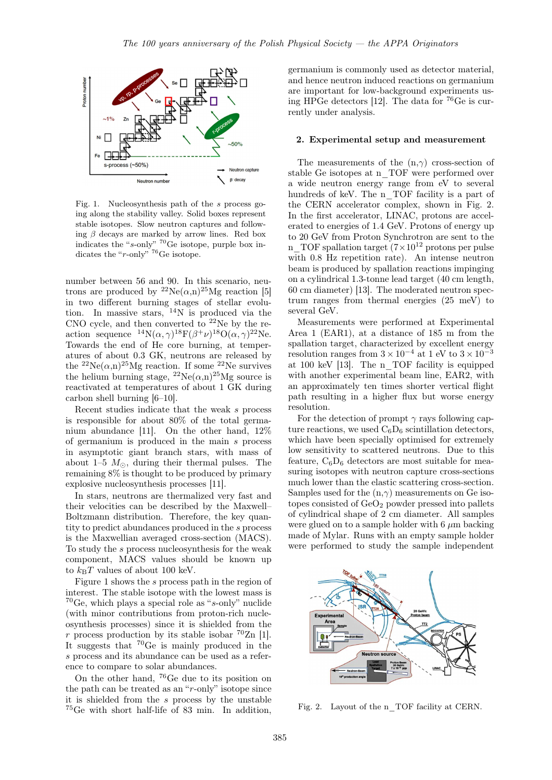

Fig. 1. Nucleosynthesis path of the s process going along the stability valley. Solid boxes represent stable isotopes. Slow neutron captures and following  $\beta$  decays are marked by arrow lines. Red box indicates the "s-only"  $^{70}$ Ge isotope, purple box indicates the "r-only" <sup>76</sup>Ge isotope.

number between 56 and 90. In this scenario, neutrons are produced by  ${}^{22}Ne(\alpha,n){}^{25}Mg$  reaction [5] in two different burning stages of stellar evolution. In massive stars,  $14N$  is produced via the CNO cycle, and then converted to  $22$ Ne by the reaction sequence  ${}^{14}N(\alpha, \gamma){}^{18}F(\beta^{+}\nu){}^{18}O(\alpha, \gamma){}^{22}Ne.$ Towards the end of He core burning, at temperatures of about 0.3 GK, neutrons are released by the  ${}^{22}Ne(\alpha,n){}^{25}Mg$  reaction. If some  ${}^{22}Ne$  survives the helium burning stage,  ${}^{22}Ne(\alpha,n){}^{25}Mg$  source is reactivated at temperatures of about 1 GK during carbon shell burning [6–10].

Recent studies indicate that the weak s process is responsible for about 80% of the total germanium abundance [11]. On the other hand, 12% of germanium is produced in the main s process in asymptotic giant branch stars, with mass of about 1–5  $M_{\odot}$ , during their thermal pulses. The remaining 8% is thought to be produced by primary explosive nucleosynthesis processes [11].

In stars, neutrons are thermalized very fast and their velocities can be described by the Maxwell– Boltzmann distribution. Therefore, the key quantity to predict abundances produced in the s process is the Maxwellian averaged cross-section (MACS). To study the s process nucleosynthesis for the weak component, MACS values should be known up to  $k_BT$  values of about 100 keV.

Figure 1 shows the s process path in the region of interest. The stable isotope with the lowest mass is  $70$ Ge, which plays a special role as "s-only" nuclide (with minor contributions from proton-rich nucleosynthesis processes) since it is shielded from the r process production by its stable isobar  ${}^{70}Zn$  [1]. It suggests that <sup>70</sup>Ge is mainly produced in the s process and its abundance can be used as a reference to compare to solar abundances.

On the other hand, <sup>76</sup>Ge due to its position on the path can be treated as an "r-only" isotope since it is shielded from the  $s$  process by the unstable <sup>75</sup>Ge with short half-life of 83 min. In addition, germanium is commonly used as detector material, and hence neutron induced reactions on germanium are important for low-background experiments using HPGe detectors [12]. The data for <sup>76</sup>Ge is currently under analysis.

#### 2. Experimental setup and measurement

The measurements of the  $(n,\gamma)$  cross-section of stable Ge isotopes at n\_TOF were performed over a wide neutron energy range from eV to several hundreds of keV. The n\_TOF facility is a part of the CERN accelerator complex, shown in Fig. 2. In the first accelerator, LINAC, protons are accelerated to energies of 1.4 GeV. Protons of energy up to 20 GeV from Proton Synchrotron are sent to the n TOF spallation target  $(7\times10^{12} \text{ protons per pulse})$ with 0.8 Hz repetition rate). An intense neutron beam is produced by spallation reactions impinging on a cylindrical 1.3-tonne lead target (40 cm length, 60 cm diameter) [13]. The moderated neutron spectrum ranges from thermal energies (25 meV) to several GeV.

Measurements were performed at Experimental Area 1 (EAR1), at a distance of 185 m from the spallation target, characterized by excellent energy resolution ranges from  $3 \times 10^{-4}$  at 1 eV to  $3 \times 10^{-3}$ at 100 keV [13]. The n\_TOF facility is equipped with another experimental beam line, EAR2, with an approximately ten times shorter vertical flight path resulting in a higher flux but worse energy resolution.

For the detection of prompt  $\gamma$  rays following capture reactions, we used  $C_6D_6$  scintillation detectors, which have been specially optimised for extremely low sensitivity to scattered neutrons. Due to this feature,  $C_6D_6$  detectors are most suitable for measuring isotopes with neutron capture cross-sections much lower than the elastic scattering cross-section. Samples used for the  $(n,\gamma)$  measurements on Ge isotopes consisted of  $GeO<sub>2</sub>$  powder pressed into pallets of cylindrical shape of 2 cm diameter. All samples were glued on to a sample holder with  $6 \mu m$  backing made of Mylar. Runs with an empty sample holder were performed to study the sample independent



Fig. 2. Layout of the n\_TOF facility at CERN.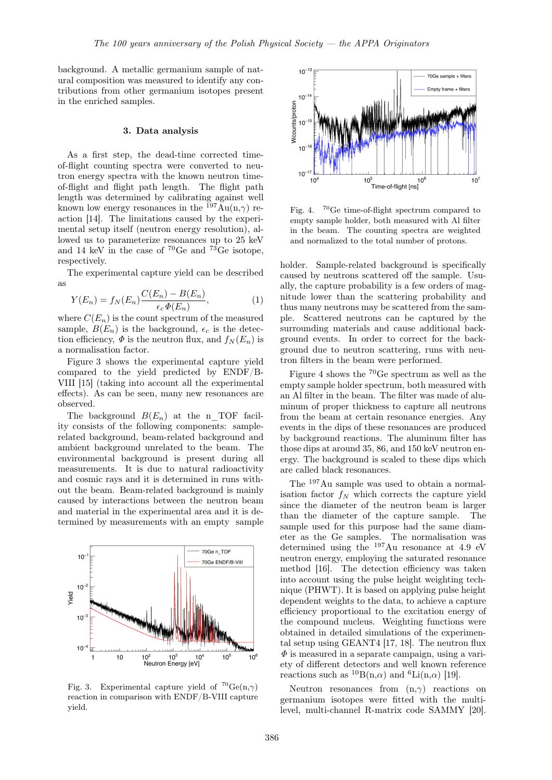background. A metallic germanium sample of natural composition was measured to identify any contributions from other germanium isotopes present in the enriched samples.

### 3. Data analysis

As a first step, the dead-time corrected timeof-flight counting spectra were converted to neutron energy spectra with the known neutron timeof-flight and flight path length. The flight path length was determined by calibrating against well known low energy resonances in the  $^{197}$ Au(n, $\gamma$ ) reaction [14]. The limitations caused by the experimental setup itself (neutron energy resolution), allowed us to parameterize resonances up to 25 keV and 14 keV in the case of  ${}^{70}$ Ge and  ${}^{73}$ Ge isotope, respectively.

The experimental capture yield can be described as

$$
Y(E_n) = f_N(E_n) \frac{C(E_n) - B(E_n)}{\epsilon_c \Phi(E_n)},
$$
\n(1)

where  $C(E_n)$  is the count spectrum of the measured sample,  $B(E_n)$  is the background,  $\epsilon_c$  is the detection efficiency,  $\Phi$  is the neutron flux, and  $f_N(E_n)$  is a normalisation factor.

Figure 3 shows the experimental capture yield compared to the yield predicted by ENDF/B-VIII [15] (taking into account all the experimental effects). As can be seen, many new resonances are observed.

The background  $B(E_n)$  at the n TOF facility consists of the following components: samplerelated background, beam-related background and ambient background unrelated to the beam. The environmental background is present during all measurements. It is due to natural radioactivity and cosmic rays and it is determined in runs without the beam. Beam-related background is mainly caused by interactions between the neutron beam and material in the experimental area and it is determined by measurements with an empty sample



Fig. 3. Experimental capture yield of  ${}^{70}Ge(n,\gamma)$ reaction in comparison with ENDF/B-VIII capture yield.



Fig. 4. <sup>70</sup>Ge time-of-flight spectrum compared to empty sample holder, both measured with Al filter in the beam. The counting spectra are weighted and normalized to the total number of protons.

holder. Sample-related background is specifically caused by neutrons scattered off the sample. Usually, the capture probability is a few orders of magnitude lower than the scattering probability and thus many neutrons may be scattered from the sample. Scattered neutrons can be captured by the surrounding materials and cause additional background events. In order to correct for the background due to neutron scattering, runs with neutron filters in the beam were performed.

Figure 4 shows the <sup>70</sup>Ge spectrum as well as the empty sample holder spectrum, both measured with an Al filter in the beam. The filter was made of aluminum of proper thickness to capture all neutrons from the beam at certain resonance energies. Any events in the dips of these resonances are produced by background reactions. The aluminum filter has those dips at around 35, 86, and 150 keV neutron energy. The background is scaled to these dips which are called black resonances.

The <sup>197</sup>Au sample was used to obtain a normalisation factor  $f_N$  which corrects the capture yield since the diameter of the neutron beam is larger than the diameter of the capture sample. The sample used for this purpose had the same diameter as the Ge samples. The normalisation was determined using the  $197\,\mathrm{Au}$  resonance at 4.9 eV neutron energy, employing the saturated resonance method [16]. The detection efficiency was taken into account using the pulse height weighting technique (PHWT). It is based on applying pulse height dependent weights to the data, to achieve a capture efficiency proportional to the excitation energy of the compound nucleus. Weighting functions were obtained in detailed simulations of the experimental setup using GEANT4 [17, 18]. The neutron flux  $\Phi$  is measured in a separate campaign, using a variety of different detectors and well known reference reactions such as  ${}^{10}B(n,\alpha)$  and  ${}^{6}Li(n,\alpha)$  [19].

Neutron resonances from  $(n, \gamma)$  reactions on germanium isotopes were fitted with the multilevel, multi-channel R-matrix code SAMMY [20].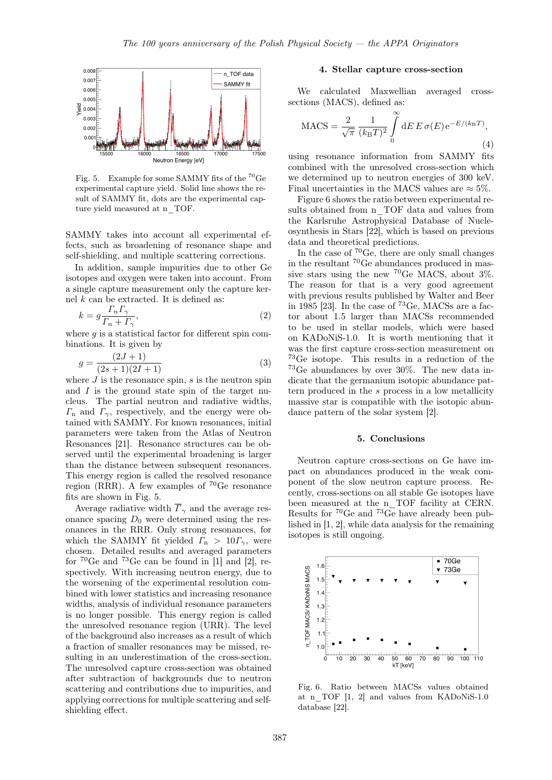

Fig. 5. Example for some SAMMY fits of the  $^{70}\mathrm{Ge}$ experimental capture yield. Solid line shows the result of SAMMY fit, dots are the experimental capture yield measured at n\_TOF.

SAMMY takes into account all experimental effects, such as broadening of resonance shape and self-shielding, and multiple scattering corrections.

In addition, sample impurities due to other Ge isotopes and oxygen were taken into account. From a single capture measurement only the capture kernel  $k$  can be extracted. It is defined as:

$$
k = g \frac{\Gamma_n \Gamma_\gamma}{\Gamma_n + \Gamma_\gamma},\tag{2}
$$

where  $q$  is a statistical factor for different spin combinations. It is given by

$$
g = \frac{(2J+1)}{(2s+1)(2I+1)}
$$
\n(3)

where  $J$  is the resonance spin,  $s$  is the neutron spin and  $I$  is the ground state spin of the target nucleus. The partial neutron and radiative widths,  $\Gamma_n$  and  $\Gamma_{\gamma}$ , respectively, and the energy were obtained with SAMMY. For known resonances, initial parameters were taken from the Atlas of Neutron Resonances [21]. Resonance structures can be observed until the experimental broadening is larger than the distance between subsequent resonances. This energy region is called the resolved resonance region (RRR). A few examples of  ${}^{70}$ Ge resonance fits are shown in Fig. 5.

Average radiative width  $\overline{\Gamma}_{\gamma}$  and the average resonance spacing  $D_0$  were determined using the resonances in the RRR. Only strong resonances, for which the SAMMY fit yielded  $\Gamma_{\rm n} > 10 \Gamma_{\gamma}$ , were chosen. Detailed results and averaged parameters for  ${}^{70}$ Ge and  ${}^{73}$ Ge can be found in [1] and [2], respectively. With increasing neutron energy, due to the worsening of the experimental resolution combined with lower statistics and increasing resonance widths, analysis of individual resonance parameters is no longer possible. This energy region is called the unresolved resonance region (URR). The level of the background also increases as a result of which a fraction of smaller resonances may be missed, resulting in an underestimation of the cross-section. The unresolved capture cross-section was obtained after subtraction of backgrounds due to neutron scattering and contributions due to impurities, and applying corrections for multiple scattering and selfshielding effect.

## 4. Stellar capture cross-section

We calculated Maxwellian averaged crosssections (MACS), defined as:

$$
MACS = \frac{2}{\sqrt{\pi}} \frac{1}{(k_B T)^2} \int_{0}^{\infty} dE E \sigma(E) e^{-E/(k_B T)},
$$
\n(4)

using resonance information from SAMMY fits combined with the unresolved cross-section which we determined up to neutron energies of 300 keV. Final uncertainties in the MACS values are  $\approx 5\%$ .

Figure 6 shows the ratio between experimental results obtained from n\_TOF data and values from the Karlsruhe Astrophysical Database of Nucleosynthesis in Stars [22], which is based on previous data and theoretical predictions.

In the case of <sup>70</sup>Ge, there are only small changes in the resultant <sup>70</sup>Ge abundances produced in massive stars using the new  ${}^{70}$ Ge MACS, about 3%. The reason for that is a very good agreement with previous results published by Walter and Beer in 1985 [23]. In the case of <sup>73</sup>Ge, MACSs are a factor about 1.5 larger than MACSs recommended to be used in stellar models, which were based on KADoNiS-1.0. It is worth mentioning that it was the first capture cross-section measurement on <sup>73</sup>Ge isotope. This results in a reduction of the <sup>73</sup>Ge abundances by over 30%. The new data indicate that the germanium isotopic abundance pattern produced in the s process in a low metallicity massive star is compatible with the isotopic abundance pattern of the solar system [2].

#### 5. Conclusions

Neutron capture cross-sections on Ge have impact on abundances produced in the weak component of the slow neutron capture process. Recently, cross-sections on all stable Ge isotopes have been measured at the n\_TOF facility at CERN. Results for  ${}^{70}Ge$  and  ${}^{73}Ge$  have already been published in [1, 2], while data analysis for the remaining isotopes is still ongoing.



Fig. 6. Ratio between MACSs values obtained at n\_TOF [1, 2] and values from KADoNiS-1.0 database [22].